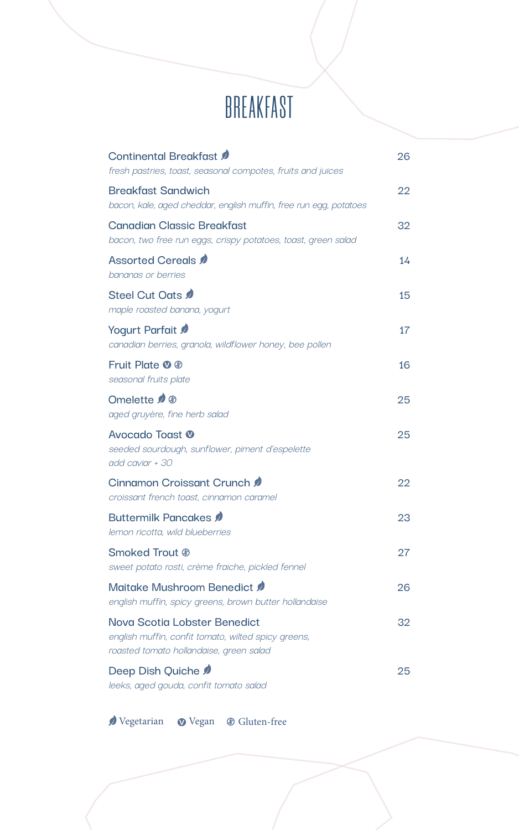# *BREAKFAST*

| Continental Breakfast<br>fresh pastries, toast, seasonal compotes, fruits and juices                                           | 26 |
|--------------------------------------------------------------------------------------------------------------------------------|----|
| <b>Breakfast Sandwich</b><br>bacon, kale, aged cheddar, english muffin, free run egg, potatoes                                 | 22 |
| <b>Canadian Classic Breakfast</b><br>bacon, two free run eggs, crispy potatoes, toast, green salad                             | 32 |
| Assorted Cereals<br>bananas or berries                                                                                         | 14 |
| Steel Cut Oats <b>0</b><br>maple roasted banana, yoqurt                                                                        | 15 |
| Yogurt Parfait<br>canadian berries, qranola, wildflower honey, bee pollen                                                      | 17 |
| Fruit Plate <b><i>O</i></b> <sup><i>n</i></sup><br>seasonal fruits plate                                                       | 16 |
| Omelette 2 ®<br>aged gruyère, fine herb salad                                                                                  | 25 |
| Avocado Toast <sup>®</sup><br>seeded sourdough, sunflower, piment d'espelette<br>add caviar + 30                               | 25 |
| Cinnamon Croissant Crunch<br>croissant french toast, cinnamon caramel                                                          | 22 |
| Buttermilk Pancakes <b>0</b><br>lemon ricotta, wild blueberries                                                                | 23 |
| Smoked Trout ®<br>sweet potato rosti, crème fraiche, pickled fennel                                                            | 27 |
| Maitake Mushroom Benedict<br>english muffin, spicy greens, brown butter hollandaise                                            | 26 |
| Nova Scotia Lobster Benedict<br>english muffin, confit tomato, wilted spicy greens,<br>roasted tomato hollandaise, green salad | 32 |
| Deep Dish Quiche<br>leeks, aged gouda, confit tomato salad                                                                     | 25 |

 $\pmb{\text{\o}\hspace{1.5pt}\text{Vegetarian}\hspace{1.5pt}\text{Wegan\hspace{1.5pt}\text{Gluten-free}}$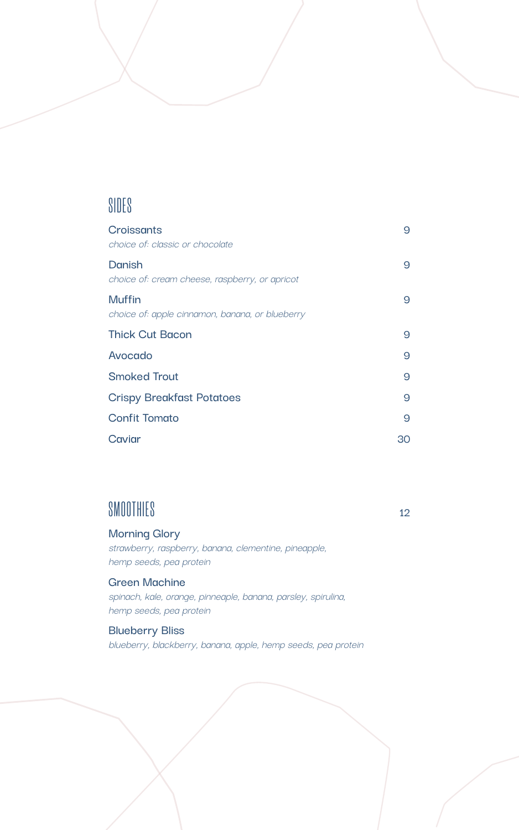### *SIDES*

| Croissants<br>choice of: classic or chocolate             | 9  |
|-----------------------------------------------------------|----|
| Danish<br>choice of: cream cheese, raspberry, or apricot  | 9  |
| Muffin<br>choice of: apple cinnamon, banana, or blueberry | 9  |
| <b>Thick Cut Bacon</b>                                    | 9  |
| Avocado                                                   | 9  |
| <b>Smoked Trout</b>                                       | 9  |
| <b>Crispy Breakfast Potatoes</b>                          | 9  |
| <b>Confit Tomato</b>                                      | 9  |
| Caviar                                                    | 30 |

### *SMOOTHIES* **<sup>12</sup>**

#### **Morning Glory**

strawberry, raspberry, banana, clementine, pineapple, hemp seeds, pea protein

### **Green Machine**

spinach, kale, orange, pinneaple, banana, parsley, spirulina, hemp seeds, pea protein

### **Blueberry Bliss**

blueberry, blackberry, banana, apple, hemp seeds, pea protein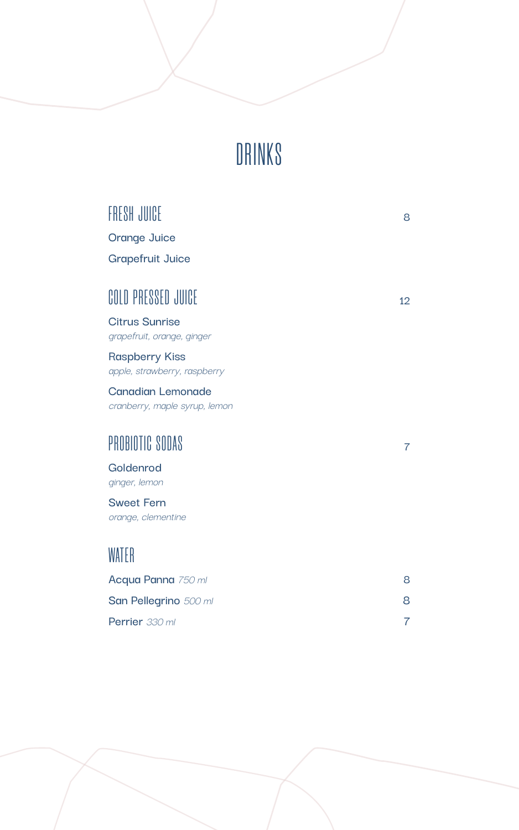# *DRINKS*

| FRESH JUICE                                               | 8               |
|-----------------------------------------------------------|-----------------|
| Orange Juice                                              |                 |
| <b>Grapefruit Juice</b>                                   |                 |
| <b>COLD PRESSED JUICE</b>                                 | 12 <sup>2</sup> |
| <b>Citrus Sunrise</b><br>grapefruit, orange, ginger       |                 |
| <b>Raspberry Kiss</b><br>apple, strawberry, raspberry     |                 |
| <b>Canadian Lemonade</b><br>cranberry, maple syrup, lemon |                 |
| PROBIOTIC SODAS                                           | $\overline{7}$  |
| Goldenrod<br>ginger, lemon                                |                 |
| <b>Sweet Fern</b><br>orange, clementine                   |                 |
| WATER                                                     |                 |
| Acqua Panna 750 ml                                        | 8               |
| San Pellegrino 500 ml                                     | 8               |
| Perrier 330 ml                                            | 7               |